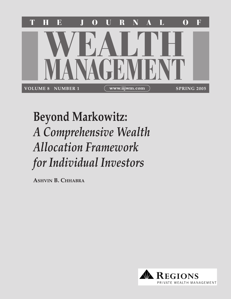

**Beyond Markowitz:**  *A Comprehensive Wealth Allocation Framework for Individual Investors*

**ASHVIN B. CHHABRA**

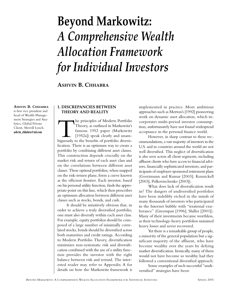# **Beyond Markowitz:**  *A Comprehensive Wealth Allocation Framework for Individual Investors*

**ASHVIN B. CHHABRA**

**ASHVIN B. CHHABRA**

is first vice president and head of Wealth Management Strategies and Analytics, Global Private Client, Merrill Lynch. **ashvin\_chhabra@ml.com**

#### **1. DISCREPANCIES BETWEEN THEORY AND REALITY**

The principles of Modern Portfolio<br>
Theory, as outlined in Markowitz's<br>
famous 1952 paper (Markowitz<br>
[1952a]) speak clearly and unam-<br>
biguously to the benefits of portfolio diversi-Theory, as outlined in Markowitz's famous 1952 paper (Markowitz [1952a]) speak clearly and unamfication. There is an optimum way to create a portfolio by combining different asset classes. This construction depends crucially on the market risk and return of each asset class and on the correlations between different asset classes. These optimal portfolios, when mapped on the risk-return plane, form a curve known as the efficient frontier. Each investor, based on his personal utility function, finds the appropriate point on this line, which then prescribes an optimum allocation between different asset classes such as stocks, bonds, and cash.

It should be intuitively obvious that, in order to achieve a truly diversified portfolio, one must also diversify within each asset class. For example, equity portfolios should be composed of a large number of minimally correlated stocks, bonds should be diversified across both maturities and credit ratings. According to Modern Portfolio Theory, diversification minimizes non-systematic risk and diversification combined with the use of a utility function provides the investor with the right balance between risk and reward. The interested reader may refer to Appendix A for details on how the Markowitz framework is implemented in practice. More ambitious approaches such as Merton's [1992] pioneering work on dynamic asset allocation, which incorporates multi-period investor consumption, unfortunately have not found widespread acceptance in the personal finance world.

However, in sharp contrast to these recommendations, a vast majority of investors in the U.S. and in countries around the world are not well diversified. This neglect of diversification is also seen across all client segments, including affluent clients who have access to financial advisors, financially sophisticated investors, and participants of employer-sponsored retirement plans (Goetzmann and Kumar [2003]; Kennickell [2003]; Polkovinchenko [2003]).

What does lack of diversification result in? The dangers of undiversified portfolios have been indelibly etched in the minds of many thousands of investors who participated in the Internet bubble with "irrational exuberance" (Greenspan [1996]; Shiller [2001]). Many of their investments became worthless, as their technology-heavy portfolios sustained heavy losses and never recovered.

Yet there is a remarkable group of people, a minority of the general population but a significant majority of the affluent, who have become wealthy over the years by defying market diversification. Ironically, many of them would not have become so wealthy had they followed a conventional diversified approach.

Some examples of such successful "undiversified" strategies have been: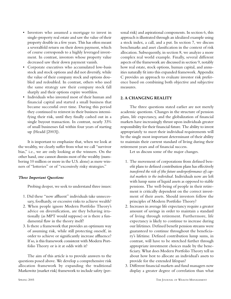- Investors who assumed a mortgage to invest in single-property real estate and saw the value of their property double in a few years. This has often meant a severalfold return on their down payment, which of course corresponds to a highly leveraged investment. In contrast, investors whose property value decreased saw their down payment vanish.
- Corporate executives who accumulated low-basis stock and stock options and did not diversify, while the value of their company stock and options doubled and redoubled. In contrast, others who used the same strategy saw their company stock fall sharply and their options expire worthless.
- Individuals who invested most of their human and financial capital and started a small business that became successful over time. During this period they continued to reinvest in their business intensifying their risk, until they finally cashed out in a single buyout transaction. In contrast, nearly 33% of small businesses fail within four years of starting up (Headd [2003]).

It is important to emphasize that, when we look at the wealthy, we clearly suffer from what we call "survivor bias," i.e., we are only looking at the winners. On the other hand, one cannot dismiss most of the wealthy (numbering 10 million or more in the U.S. alone) as mere winners of "lotteries" or of "excessively risky strategies."

#### *Three Important Questions*

Probing deeper, we seek to understand three issues:

- 1. Did these "now affluent" individuals take unnecessary, foolhardy, or excessive risks to achieve wealth?
- 2. When people ignore Modern Portfolio Theory's advice on diversification, are they behaving irrationally (as MPT would suppose) or is there a fundamental flaw in the theory itself?
- 3. Is there a framework that provides an optimum way of assuming risk, while still protecting oneself, in order to achieve or significantly increase affluence? If so, is this framework consistent with Modern Portfolio Theory or is it at odds with it?

The aim of this article is to provide answers to the questions posed above. We develop a comprehensive risk allocation framework by expanding the traditional Markowitz (market risk) framework to include safety (personal risk) and aspirational components. In section 6, this approach is illustrated through an idealized example using a stock index, a call, and a put. In section 7, we discuss benchmarks and asset classification in the context of risk allocation. Subsequently, in section 8, we analyze a more complex real world example. Finally, several different aspects of the framework are discussed in section 9, notably how real estate, stock options, human capital, and annuities naturally fit into this expanded framework. Appendix C provides an approach to evaluate investor risk preference based on combining both objective and subjective measures.

#### **2. A CHANGING REALITY**

The three questions stated earlier are not merely academic questions. Changes in the structure of pension plans, life expectancy, and the globalization of financial markets have increasingly thrust upon individuals greater responsibility for their financial future. The ability to invest appropriately to meet their individual requirements will be the single most important determinant of their ability to maintain their current standard of living during their retirement years and of financial success.

Let us discuss some of the major changes.

- 1. The movement of corporations from defined benefit plans to defined contribution plans has effectively *transferred the risk of (the future underperformance of) capital markets to the individual*. Individuals now are left with lump sums of liquid assets as opposed to stable pensions. The well-being of people in their retirement is critically dependent on the correct investment of their assets. Should investors follow the principles of Modern Portfolio Theory?
- 2. Increases in average life expectancy require a greater amount of savings in order to maintain a standard of living through retirement. Furthermore, life expectancy is likely to continue to increase during our lifetimes. Defined benefit pension streams were guaranteed to continue throughout the beneficiary's lifetime. Defined contribution lump sums, in contrast, will have to be stretched further through appropriate investment choices made by the beneficiary. What does Modern Portfolio Theory tell us about how best to allocate an individual's assets to provide for the extended lifespan?
- 3. Different financial markets and fund managers now display a greater degree of correlation than what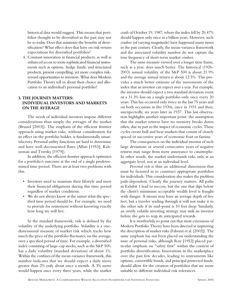historical data would suggest. This means that portfolios thought to be diversified in the past may not be so today. Does that minimize the benefits of diversification? What effect does that have on risk-return expectations for diversified portfolios?

4. Constant innovation in financial products, as well as enhanced access to more sophisticated financial instruments such as options, hedge funds, and structured products, present compelling, yet more complex riskreward opportunities to investors. What does Modern Portfolio Theory tell us about their choice and allocation to an individual's personal portfolio?

#### **3. THE JOURNEY MATTERS: INDIVIDUAL INVESTORS AND MARKETS ON THE AVERAGE**

The needs of individual investors impose different considerations than simply the averages of the market (Brunel [2003]). The emphasis of the efficient frontier approach using market risks, without consideration for its effect on the portfolio holder, is fundamentally unsatisfactory. Personal utility functions are hard to determine and have well-documented flaws (Allais [1953]; Kahneman and Tversky [1979]).

In addition, the efficient frontier approach optimizes for a portfolio's outcome at the end of a single predetermined time period. There are at least two problems with this.

- Investors need to maintain their lifestyle and meet their financial obligations during this time period regardless of market conditions.
- We do not always know at the outset what the specified time period should be. For example, we need to provide for retirement without knowing exactly how long we will live.

In the standard framework, risk is defined by the volatility of the underlying portfolio. Volatility is a onedimensional measure of market risk which tracks how much the price of the portfolio fluctuates, on the average, over a specified period of time. For example, a diversified index consisting of large-cap stocks, such as the S&P 500, has a daily volatility (standard deviation) of about 1%. Within the confines of the mean-variance framework, this number indicates that we should expect a daily move greater than 2% only about once a month. A 3% move would happen once every three years, while the market crash of October 19, 1987, where the index fell by 20.47% should happen only once in a billion years. However, such crashes (of varying magnitude) have happened many times in the past century. Clearly, the mean-variance framework and the associated volatility number do not capture the true frequency of short-term market crashes.

The same measure viewed over a longer time frame, such as a year, does much better. The historical (1926- 2003) annual volatility of the S&P 500 is about 21.9% and the average annual return is about 12.5%. This provides a much better estimate of the movements of the index that an investor can expect over a year. For example, the investor should expect a two standard deviation event or a 31.3% loss on a single portfolio only once every 20 years. This has occurred only twice in the last 75 years and on both occasions in the 1930s, once in 1931 and then, unexpectedly, six years later in 1937. This last observation highlights another important point: the assumption that the market returns have no memory breaks down often, due in part to the impact of economic cycles. These cycles create bull and bear markets that consist of closely spaced or successive years of economic feast or famine.

The consequences on the individual investor of such large deviations or several consecutive years of negative returns may range from mere annoyance to catastrophe. In other words, the market understands risks only at an aggregate level, not at an individual level.

*Personal risk* is thus an additional dimension that must be factored in to construct appropriate portfolios for individuals. This consideration also makes the problem path-dependent. Clearly the journey matters. All paths in Exhibit 1 lead to success, but the one that dips below the client's minimum acceptable wealth level is fraught with danger. A stream may have an average depth of five feet, but a traveler wading through it will not make it to the other side if its mid-point is 10 feet deep. Similarly, an overly volatile investing strategy may sink an investor before she gets to reap its anticipated rewards.

It is worthwhile to point out that most extensions of Modern Portfolio Theory have been directed at improving the description of market risks (Fabozzi et al. [2002]). The same emphasis has not been placed on understanding the issue of personal risks, although Roy [1952] placed particular emphasis on "safety first" within the context of portfolio diversification. Innovations in the marketplace over the past few decades, leading to instruments like options, convertible bonds, and principal protected funds, should allow for the creation of portfolios that are more suitable to different individual risk tolerances.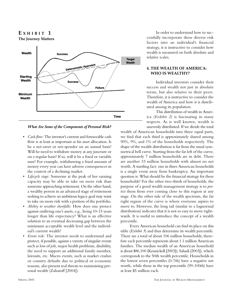## **E XHIBIT 1 The Journey Matters**



#### *What Are Some of the Components of Personal Risk?*

- *Cash flow:* The investor's current and foreseeable cash flow is at least as important as his asset allocation. Is he a net-saver or net-spender on an annual basis? Will he need to withdraw money at any juncture or on a regular basis? If so, will it be a fixed or variable sum? For example, withdrawing a fixed amount of money every year can have adverse consequences in the context of a declining market.
- *Lifecycle stage:* Someone at the peak of her earning capacity may be able to take on more risk than someone approaching retirement. On the other hand, a wealthy person in an advanced stage of retirement seeking to achieve an ambitious legacy goal may want to take on more risk with a portion of the portfolio.
- *Ability to weather shortfalls:* How does one protect against outliving one's assets, e.g., living 10-15 years longer than life expectancy? What is an effective solution to an eventual decreasing gap between the minimum acceptable wealth level and the individual's current wealth?
- *Event risk:* The investor needs to understand and protect, if possible, against a variety of singular events such as loss of job, major health problems, disability, the need to support an additional family member, lawsuits, etc. Macro events, such as market crashes or country defaults due to political or economic reasons, also present real threats to maintaining personal wealth (Zaharoff [2004]).

In order to understand how to successfully incorporate these diverse risk factors into an individual's financial strategy, it is instructive to consider how wealth is measured on both absolute and relative scales.

#### **4. THE WEALTH OF AMERICA: WHO IS WEALTHY?**

Individual investors consider their success and wealth not just in absolute terms, but also relative to their peers. Therefore, it is instructive to consider the wealth of America and how it is distributed among its population.

This distribution of wealth in America (*Exhibit 2*) is fascinating in many respects. As is well known, wealth is unevenly distributed. If we divide the total

wealth of American households into three equal parts, we find that each third is approximately shared among 90%, 9%, and 1% of the households respectively. The shape of the wealth distribution is far from the usual symmetrical bell curve. Starting from the far left of the curve, approximately 7 million households are in debt. There are another 33 million households with almost no net worth. A startling fact: one in three American households is a single event away from bankruptcy. An important question is: What should be the financial strategy for these households? For the other two-thirds of households, the purpose of a good wealth management strategy is to *protect* them from ever coming close to this region at any stage. On the other side of the wealth spectrum, the far right region of the curve is where everyone aspires to move to. However, the long tail (similar to a lognormal distribution) indicates that it is not so easy to move rightwards. It is useful to introduce the concept of a wealth percentile.

Every American household can find its place on this table (*Exhibit 3*) and thus determine its wealth percentile. There are a total of about 106 million households; therefore each percentile represents about 1.1 million American families. The median wealth of an American household is about \$86,100 (Kennickell [2003]); Sahadi [2003]), which corresponds to the 50th wealth percentile. Households in the lowest seven percentiles (0-7th) have a negative net worth, while those in the top percentile (99-100th) have at least \$5 million each.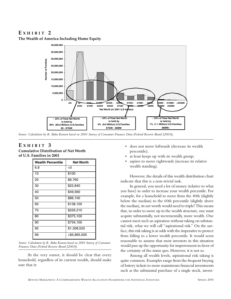## **E XHIBIT 2 The Wealth of America Including Home Equity**



*Source: Calculation by R. Babu Koneru based on 2001 Survey of Consumer Finances Data (Federal Reserve Board [2003]).*

#### **E XHIBIT 3 Cumulative Distribution of Net Worth of U.S. Families in 2001**

| <b>Wealth Percentile</b> | <b>Net Worth</b> |
|--------------------------|------------------|
| 6.8                      | <0               |
| 10                       | \$100            |
| 20                       | \$6,760          |
| 30                       | \$22,840         |
| 40                       | \$49,560         |
| 50                       | \$86,100         |
| 60                       | \$138,100        |
| 70                       | \$226,210        |
| 80                       | \$375,100        |
| 90                       | \$734,100        |
| 95                       | \$1,308,520      |
| 99                       | >\$5,865,000     |

*Source: Calculation by R. Babu Koneru based on 2001 Survey of Consumer Finances Data (Federal Reserve Board [2003]).*

At the very outset, it should be clear that every household, regardless of its current wealth, should make sure that it:

- does not move leftwards (decrease its wealth percentile);
- at least keeps up with its wealth group;
- aspires to move rightwards (increase its relative wealth standing).

However, the details of this wealth distribution chart indicate that this is a non-trivial task.

In general, you need a lot of money (relative to what you have) in order to increase your wealth percentile. For example, for a household to move from the 40th (slightly below the median) to the 60th percentile (slightly above the median), its net worth would need to triple! This means that, in order to move up in the wealth structure, one must acquire substantially, not incrementally, more wealth. One cannot meet such an aspiration without taking on substantial risk, what we will call "aspirational risk." On the surface, this risk taking is at odds with the imperative to protect from falling to a lower wealth percentile. It would seem reasonable to assume that most investors in this situation would pass up the opportunity for improvement in favor of the certainty of the status quo. However, it is not so.

Among all wealth levels, aspirational risk taking is quite common. Examples range from the frequent buying of lottery tickets to more mainstream financial investments such as the substantial purchase of a single stock, invest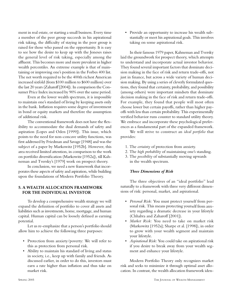ment in real estate, or starting a small business. Every time a member of the peer group succeeds in his aspirational risk taking, the difficulty of staying in the peer group is raised for those who passed on the opportunity. It is easy to see how the desire to keep up with the Joneses raises the general level of risk taking, especially among the affluent. This becomes more and more prevalent in higher wealth percentiles. An extreme example is that of maintaining or improving one's position in the Forbes 400 list. The net worth required to be the 400th richest American increased sixfold (from \$100 million to \$600 million) over the last 20 years (Zaharoff [2004]). In comparison the Consumer Price Index increased by 90% over the same period.

Even at the lower wealth spectrum, it is impossible to maintain one's standard of living by keeping assets only in the bank. Inflation requires some degree of investment in bond or equity markets and therefore the assumption of additional risk.

The conventional framework does not have the flexibility to accommodate the dual demands of safety and aspiration (Lopes and Oden [1999]). This issue, which points to the need for non-concave utility functions, was first addressed by Friedman and Savage [1948] and was the subject of a paper by Markowitz [1952b]. However, this area received limited attention, in comparison to the work on portfolio diversification (Markowitz [1952a]), till Kahneman and Tversky's [1979] work on prospect theory.

In conclusion, we need a new framework that incorporates these aspects of safety and aspiration, while building upon the foundations of Modern Portfolio Theory.

#### **5. A WEALTH ALLOCATION FRAMEWORK FOR THE INDIVIDUAL INVESTOR**

To develop a comprehensive wealth strategy we will expand the definition of portfolio to cover all assets and liabilities such as investments, home, mortgage, and human capital. Human capital can be loosely defined as earning potential.

Let us re-emphasize that a person's portfolio should allow him to achieve the following three purposes:

- Protection from anxiety/poverty: We will refer to this as protection from personal risk.
- Ability to maintain his standard of living and status in society, i.e., keep up with family and friends. As discussed earlier, in order to do this, investors must earn a rate higher than inflation and thus take on market risk.

• Provide an opportunity to increase his wealth substantially or meet his aspirational goals. This involves taking on some aspirational risk.

In their famous 1979 paper, Kahneman and Tversky laid the groundwork for prospect theory, which attempts to understand and incorporate actual investor behavior. They found several important factors that dominate decision making in the face of risk and return trade-offs, not just in finance, but across a wide variety of human decision making. By using a series of cleverly formulated questions, they found that certainty, probability, and possibility (among others) were important mindsets that dominate decision making in the face of risk and return trade-offs. For example, they found that people will most often choose lower but certain payoffs, rather than higher payoffs with less than certain probability. This experimentally verified behavior runs counter to standard utility theory. We embrace and incorporate these psychological preferences as a fundamental part of the expanded framework.

We will strive to construct an *ideal portfolio* that provides:

- 1. The *certainty* of protection from anxiety.
- 2. The *high probability* of maintaining one's standing.
- 3. The *possibility* of substantially moving upwards in the wealth spectrum.

#### *Three Dimensions of Risk*

The three objectives of an "ideal portfolio" lead naturally to a framework with three very different dimensions of risk: personal, market, and aspirational.

- *Personal Risk:* You must protect yourself from personal risk. This means protecting yourself from anxiety regarding a dramatic decrease in your lifestyle (Chhabra and Zaharoff [2001]).
- *Market Risk:* You need to take on market risk (Markowitz [1952a]; Sharpe et al. [1998]), in order to grow with your wealth segment and maintain your lifestyle.
- *Aspirational Risk:* You could take on aspirational risk if you desire to break away from your wealth segment and enhance your lifestyle.

Modern Portfolio Theory only recognizes market risk and seeks to minimize it through optimal asset allocation. In contrast, the wealth allocation framework iden-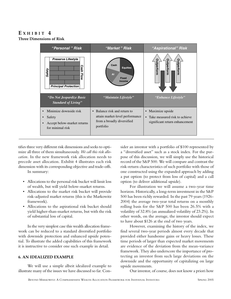## $E$  **X HIBIT** 4 **Three Dimensions of Risk**

| "Personal " Risk                                                                                                           | "Market " Risk                                                                                             | "Aspirational" Risk                                                                                          |
|----------------------------------------------------------------------------------------------------------------------------|------------------------------------------------------------------------------------------------------------|--------------------------------------------------------------------------------------------------------------|
| <b>Preserve Lifestyle</b><br>O<br>äs<br>Safety<br>Ë<br>Flow<br><b>Principal Protection</b>                                 | Cash<br><b>Equities</b><br><b>AI</b><br><b>Fixed</b><br>Income                                             | Outperform<br>Outperform<br>Outperform                                                                       |
| "Do Not Jeopardize Basic<br><b>Standard of Living"</b>                                                                     | "Maintain Lifestyle"                                                                                       | "Enhance Lifestyle"                                                                                          |
| Minimize downside risk<br>$\bullet$<br>Safety<br>$\bullet$<br>Accept below-market returns<br>$\bullet$<br>for minimal risk | • Balance risk and return to<br>attain market-level performance<br>from a broadly diversified<br>portfolio | Maximize upside<br>$\bullet$<br>Take measured risk to achieve<br>$\bullet$<br>significant return enhancement |

tifies three very different risk dimensions and seeks to optimize all three of them simultaneously. *We call this risk allocation.* In the new framework risk allocation needs to precede asset allocation. Exhibit 4 illustrates each risk dimension with its corresponding objective and trade-offs.

In summary:

- Allocations to the personal risk bucket will limit loss of wealth, but will yield below-market returns.
- Allocations to the market risk bucket will provide risk-adjusted market returns (this is the Markowitz framework).
- Allocations to the aspirational risk bucket should yield higher-than-market returns, but with the risk of substantial loss of capital.

In the very simplest case this wealth allocation framework can be reduced to a standard diversified portfolio with downside protection and enhanced upside potential. To illustrate the added capabilities of this framework it is instructive to consider one such example in detail.

#### **6. AN IDEALIZED EXAMPLE**

We will use a simple albeit idealized example to illustrate many of the issues we have discussed so far. Consider an investor with a portfolio of \$100 represented by a "diversified asset" such as a stock index. For the purpose of this discussion, we will simply use the historical record of the S&P 500. We will compare and contrast the risk-return characteristics of such portfolio with those of one constructed using the expanded approach by adding a put option (to protect from loss of capital) and a call option (to deliver additional upside).

For illustration we will assume a two-year time horizon. Historically, a long-term investment in the S&P 500 has been richly rewarded. In the past 79 years (1926- 2004) the average two-year total returns on a monthly rolling basis for the S&P 500 has been 26.5% with a volatility of 32.8% (an annualized volatility of 23.2%). In other words, on the average, the investor should expect to have about \$126 at the end of two years.

However, examining the history of the index, we find several two-year periods almost every decade that provided either handsome gains or heavy losses. These time periods of larger than expected market movements are evidence of the deviation from the mean-variance framework. They also underscore the importance of protecting an investor from such large deviations on the downside and the opportunity of capitalizing on large upside movements.

Our investor, of course, does not know a priori how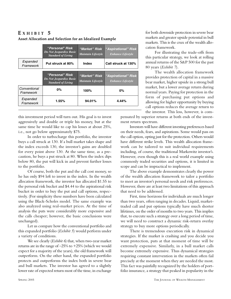## **E XHIBIT 5 Asset Allocation and Selection for an Idealized Example**

|                           | "Personal" Risk<br>Do Not Jeopardize Basic<br><b>Standard of Living</b> | "Market" Risk<br><b>Maintain Lifestyle</b> | "Aspirational" Risk<br><b>Enhance Lifestyle</b> |
|---------------------------|-------------------------------------------------------------------------|--------------------------------------------|-------------------------------------------------|
| Expanded<br>Framework     | Put struck at 80%                                                       | Index                                      | Call struck at 130%                             |
|                           | "Personal" Risk<br>Do Not Jeopardize Basic<br><b>Standard of Living</b> | "Market" Risk<br><b>Maintain Lifestyle</b> | "Aspirational" Risk<br><b>Enhance Lifestyle</b> |
| Conventional<br>Framework | $0\%$                                                                   | 100%                                       | $0\%$                                           |
| Expanded<br>Framework     | 1.55%                                                                   | 94.01%                                     | 4.44%                                           |

this investment period will turn out. His goal is to invest aggressively and double or triple his money, but at the same time he would like to cap his losses at about 25%, i.e., not go below approximately \$75.

In order to turbocharge this portfolio, the investor buys a call struck at 130. If a bull market takes shape and the index exceeds 130, the investor's gains are doubled for every point above 130. At the same time, as a precaution, he buys a put struck at 80. When the index dips below 80, the put will kick in and prevent further losses to the portfolio.

Of course, both the put and the call cost money, so he has only \$94 left to invest in the index. In the wealth allocation framework, the investor has allocated \$1.55 to the personal risk bucket and \$4.44 to the aspirational risk bucket in order to buy the put and call options, respectively. (For simplicity these numbers have been calculated using the Black-Scholes model. The same example was also analyzed using real-market prices. At the time of analysis the puts were considerably more expensive and the calls cheaper; however, the basic conclusions were unchanged).

Let us compare how the conventional portfolio and this expanded portfolio (*Exhibit 5*) would perform under a variety of conditions.

We see clearly (*Exhibit 6*) that, when two-year market returns are in the range of –25% to +25% (which we would expect for a majority of the years), the old framework will outperform. On the other hand, the expanded portfolio protects and outperforms the index both in severe bear and bull markets. The investor has agreed to a slightly lower rate of expected return most of the time, in exchange

for both downside protection in severe bear markets and greater upside potential in bull markets. This is the crux of the wealth allocation framework.

For illustrating the trade-offs from this particular strategy, we look at rolling annual returns of the S&P 500 for the past 80 years (*Exhibit 7*).

The wealth allocation framework provides protection of capital in a massive bear market, higher upside in a strong bull market, but a lower average return during normal years. Paying for protection in the form of purchasing put options and allowing for higher opportunity by buying call options reduces the average return to the investor. This loss, however, is com-

pensated by superior returns at both ends of the investment return spectrum.

Investors will have different investing preferences based on their needs, fears, and aspirations. Some would pass on the call option, opting just for the protection. Others would have different strike levels. This wealth allocation framework can be tailored to suit individual requirements including, of course, the traditional Markowitz investor's. However, even though this is a real world example using commonly traded securities and options, it is limited in scope and can be impractical to implement.

The above example demonstrates clearly the power of the wealth allocation framework to tailor a portfolio to meet an investor's personal needs and risk preferences. However, there are at least two limitations of this approach that need to be addressed.

First, time horizons for individuals are much longer than two years, often ranging in decades. Liquid, markettraded call and put options typically have much shorter lifetimes, on the order of months to two years. This implies that, to execute such a strategy over a long period of time, we will need to construct a dynamic risk-return overlay strategy to buy more options periodically.

There is tremendous execution risk in dynamical strategies. If the market is crashing and you decide you want protection, puts at that moment of time will be extremely expensive. Similarly, in a bull market calls become extremely expensive. Thus dynamical strategies requiring constant intervention in the markets often fail precisely at the moment when they are needed the most. This fact was painfully recognized by the holders of portfolio insurance, a strategy that peaked in popularity in the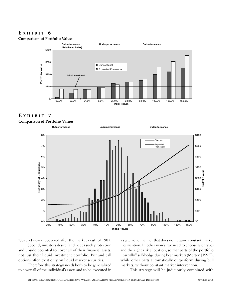## **E XHIBIT 6 Comparison of Portfolio Values**



## **E XHIBIT 7 Comparison of Portfolio Values**



'80s and never recovered after the market crash of 1987.

Second, investors desire (and need) such protection and upside potential to cover all of their financial assets, not just their liquid investment portfolio. Put and call options often exist only on liquid market securities.

Therefore this strategy needs both to be generalized to cover all of the individual's assets and to be executed in a systematic manner that does not require constant market intervention. In other words, we need to choose asset types and the right risk allocation, so that parts of the portfolio "partially" self-hedge during bear markets (Merton [1995]), while other parts automatically outperform during bull markets, without constant market intervention.

This strategy will be judiciously combined with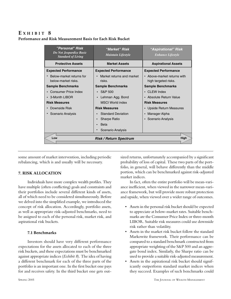## **E XHIBIT 8**

**Performance and Risk Measurement Basis for Each Risk Bucket**

| "Personal" Risk<br>Do Not Jeopardize Basic<br><b>Standard of Living</b> | "Market" Risk<br><b>Maintain Lifestyle</b> | "Aspirational" Risk<br><b>Enhance Lifestyle</b>     |
|-------------------------------------------------------------------------|--------------------------------------------|-----------------------------------------------------|
| <b>Protective Assets</b>                                                | <b>Market Assets</b>                       | <b>Aspirational Assets</b>                          |
| <b>Expected Performance</b>                                             | <b>Expected Performance</b>                | <b>Expected Performance</b>                         |
| Below-market returns for<br>below-market risks.                         | Market returns and market<br>risks.        | • Above-market returns with<br>high targeted risks. |
| <b>Sample Benchmarks</b>                                                | <b>Sample Benchmarks</b>                   | <b>Sample Benchmarks</b>                            |
| • Consumer Price Index                                                  | <b>S&amp;P 500</b><br>$\bullet$            | $\cdot$ CI FW Index                                 |
| • 3-Month LIBOR                                                         | Lehman Agg. Bond<br>$\bullet$              | • Absolute Return Value                             |
| <b>Risk Measures</b>                                                    | <b>MSCI World index</b>                    | <b>Risk Measures</b>                                |
| • Downside Risk                                                         | <b>Risk Measures</b>                       | Upside Return Measures<br>٠                         |
| • Scenario Analysis                                                     | <b>Standard Deviation</b>                  | Manager Alpha<br>٠                                  |
|                                                                         | <b>Sharpe Ratio</b><br>$\bullet$           | • Scenario Analysis                                 |
|                                                                         | <b>Beta</b><br>$\bullet$                   |                                                     |
|                                                                         | Scenario Analysis<br>$\bullet$             |                                                     |
| Low                                                                     | <b>Risk / Return Spectrum</b>              | High                                                |
|                                                                         |                                            |                                                     |

some amount of market intervention, including periodic rebalancing, which is and usually will be necessary.

#### **7. RISK ALLOCATION**

Individuals have more complex wealth profiles. They have multiple (often conflicting) goals and constraints and their portfolios include several different kinds of assets, all of which need to be considered simultaneously. Before we delved into the simplified example, we introduced the concept of risk allocation. Accordingly, portfolio assets, as well as appropriate risk-adjusted benchmarks, need to be assigned to each of the personal risk, market risk, and aspirational risk buckets.

#### **7.1 Benchmarks**

Investors should have very different performance expectations for the assets allocated to each of the three risk buckets, and these expectations must be benchmarked against appropriate indices (*Exhibit 8*). The idea of having a different benchmark for each of the three parts of the portfolio is an important one. In the first bucket one pays for and receives safety. In the third bucket one gets out-

sized returns, unfortunately accompanied by a significant probability of loss of capital. These two parts of the portfolio, in general, will behave differently than the middle portion, which can be benchmarked against risk-adjusted market indices.

In fact, often the entire portfolio will be mean-variance inefficient, when viewed in the narrower mean-variance framework, but will provide more robust protection and upside, when viewed over a wider range of outcomes.

- Assets in the personal risk bucket should be expected to appreciate at below-market rates. Suitable benchmarks are the Consumer Price Index or three-month LIBOR. Suitable risk measures could use downside risk rather than volatility.
- Assets in the market risk bucket follow the standard Markowitz framework. Their performance can be compared to a standard benchmark constructed from appropriate weighting of the S&P 500 and an aggregate bond index. Similarly, the Sharpe ratio can be used to provide a suitable risk-adjusted measurement.
- Assets in the aspirational risk bucket should significantly outperform standard market indices when they succeed. Examples of such benchmarks could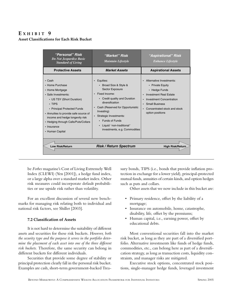## **Asset Classifications for Each Risk Bucket**

| "Personal" Risk<br>Do Not Jeopardize Basic<br><b>Standard of Living</b>                                                                                                                                                                                                                                     | "Market" Risk<br><b>Maintain Lifestyle</b>                                                                                                                                                                                                                                                                           | "Aspirational" Risk<br><b>Enhance Lifestyle</b>                                                                                                                                                                                                                    |
|-------------------------------------------------------------------------------------------------------------------------------------------------------------------------------------------------------------------------------------------------------------------------------------------------------------|----------------------------------------------------------------------------------------------------------------------------------------------------------------------------------------------------------------------------------------------------------------------------------------------------------------------|--------------------------------------------------------------------------------------------------------------------------------------------------------------------------------------------------------------------------------------------------------------------|
| <b>Protective Assets</b>                                                                                                                                                                                                                                                                                    | <b>Market Assets</b>                                                                                                                                                                                                                                                                                                 | <b>Aspirational Assets</b>                                                                                                                                                                                                                                         |
| $\cdot$ Cash<br>• Home Purchase<br>• Home Mortgage<br>· Safe Investments:<br>• US TSY (Short Duration)<br>$\cdot$ TIPS<br>• Principal Protected Funds<br>• Annuities to provide safe source of<br>income and hedge longevity risk<br>• Hedging through Calls/Puts/Collars<br>• Insurance<br>• Human Capital | Equities:<br>• Broad Size & Style &<br>Sector Exposure<br>Fixed Income:<br>$\bullet$<br>• Credit quality and Duration<br>diversification<br>Cash (Reserved for Opportunistic<br>Investing)<br>Strategic Investments:<br>$\bullet$<br>• Funds of Funds<br>• Liquid "non-traditional"<br>investments, e.g. Commodities | Alternative Investments:<br>$\bullet$<br>• Private Equity<br>• Hedge Funds<br><b>Investment Real Estate</b><br>$\bullet$<br><b>Investment Concentration</b><br>$\bullet$<br><b>Small Business</b><br>$\bullet$<br>Concentrated stock and stock<br>option positions |
| <b>Low Risk/Return</b>                                                                                                                                                                                                                                                                                      | <b>Risk / Return Spectrum</b>                                                                                                                                                                                                                                                                                        | <b>High Risk/Return</b>                                                                                                                                                                                                                                            |

be *Forbes* magazine's Cost of Living Extremely Well Index (CLEWI) (Yen [2001]), a hedge fund index, or a large alpha over a standard market index. Other risk measures could incorporate default probabilities or use upside risk rather than volatility.

For an excellent discussion of several new benchmarks for managing risk relating both to individual and national risk factors, see Shiller [2003].

### **7.2 Classification of Assets**

It is not hard to determine the suitability of different assets and securities for these risk buckets. *However, both the security type and the purpose it serves in the portfolio determine the placement of each asset into one of the three different risk buckets.* Therefore, the same security can belong in different buckets for different individuals.

Securities that provide some degree of stability or principal protection clearly fall in the personal risk bucket. Examples are cash, short-term government-backed Treasury bonds, TIPS (i.e., bonds that provide inflation protection in exchange for a lower yield), principal-protected mutual funds, annuities of certain kinds, and option hedges such as puts and collars.

Other assets that we now include in this bucket are:

- Primary residence, offset by the liability of a mortgage;
- Insurance on automobile, home, catastrophe, disability, life, offset by the premiums;
- Human capital, i.e., earning power, offset by educational debts.

Most conventional securities fall into the market risk bucket, as long as they are part of a diversified portfolio. Alternative investments like funds of hedge funds, commodities, etc., can belong here as part of a diversification strategy, as long as transaction costs, liquidity constraints, and manager risks are mitigated.

Executive stock options, concentrated stock positions, single-manager hedge funds, leveraged investment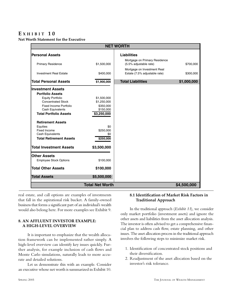#### **Net Worth Statement for the Executive**

|                                |                        | <b>NET WORTH</b>                                             |             |
|--------------------------------|------------------------|--------------------------------------------------------------|-------------|
|                                |                        |                                                              |             |
| <b>Personal Assets</b>         |                        | <b>Liabilities</b>                                           |             |
| <b>Primary Residence</b>       | \$1,500,000            | Mortgage on Primary Residence<br>(5.5% adjustable rate)      | \$700,000   |
| <b>Investment Real Estate</b>  | \$400,000              | Mortgage on Investment Real<br>Estate (7.5% adjustable rate) | \$300,000   |
| <b>Total Personal Assets</b>   | \$1,900,000            | <b>Total Liabilities</b>                                     | \$1,000,000 |
| <b>Investment Assets</b>       |                        |                                                              |             |
| <b>Portfolio Assets</b>        |                        |                                                              |             |
| <b>Equity Portfolio</b>        | \$1,500,000            |                                                              |             |
| <b>Concentrated Stock</b>      | \$1,250,000            |                                                              |             |
| <b>Fixed Income Portfolio</b>  | \$350,000              |                                                              |             |
| <b>Cash Equivalents</b>        | \$150,000              |                                                              |             |
| <b>Total Portfolio Assets</b>  | \$3,250,000            |                                                              |             |
| <b>Retirement Assets</b>       |                        |                                                              |             |
| Equities                       | \$0                    |                                                              |             |
| <b>Fixed Income</b>            | \$250,000              |                                                              |             |
| <b>Cash Equivalents</b>        | \$0                    |                                                              |             |
| <b>Total Retirement Assets</b> | \$250,000              |                                                              |             |
| <b>Total Investment Assets</b> | \$3,500,000            |                                                              |             |
| <b>Other Assets</b>            |                        |                                                              |             |
| <b>Employee Stock Options</b>  | \$100,000              |                                                              |             |
| <b>Total Other Assets</b>      | \$100,000              |                                                              |             |
| <b>Total Assets</b>            | \$5,500,000            |                                                              |             |
|                                | <b>Total Net Worth</b> |                                                              | \$4,500,000 |

real estate, and call options are examples of investments that fall in the aspirational risk bucket. A family-owned business that forms a significant part of an individual's wealth would also belong here. For more examples see Exhibit 9.

#### **8. AN AFFLUENT INVESTOR EXAMPLE: A HIGH-LEVEL OVERVIEW**

It is important to emphasize that the wealth allocation framework can be implemented rather simply. A high-level overview can identify key issues quickly. Further analysis, for example inclusion of cash flows and Monte Carlo simulations, naturally leads to more accurate and detailed solutions.

Let us demonstrate this with an example. Consider an executive whose net worth is summarized in Exhibit 10.

#### **8.1 Identification of Market Risk Factors in Traditional Approach**

In the traditional approach (*Exhibit 11*), we consider only market portfolio (investment assets) and ignore the other assets and liabilities from the asset allocation analysis. The investor is often advised to get a comprehensive financial plan to address cash flow, estate planning, and other issues. The asset allocation process in the traditional approach involves the following steps to minimize market risk.

- 1. Identification of concentrated stock positions and their diversification.
- 2. Readjustment of the asset allocation based on the investor's risk tolerance.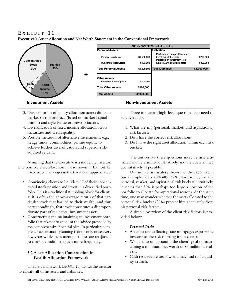**Executive's Asset Allocation and Net Worth Statement in the Conventional Framework**



#### **Investment Assets Non-Investment Assets**

- 3. Diversification of equity allocation across different market sectors and size (based on market capitalization) and style (value or growth) factors.
- 4. Diversification of fixed income allocation across maturities and credit quality.
- 5. Possible inclusion of alternative investments, e.g., hedge funds, commodities, private equity, to achieve further diversification and superior riskadjusted returns.

Assuming that the executive is a moderate investor, one possible asset allocation mix is shown in Exhibit 12. Two major challenges in the traditional approach are:

- Convincing clients to liquidate *all* of their concentrated stock position and invest in a diversified portfolio. This is a traditional stumbling block for clients, as it is often the above-average return of that particular stock that has led to their wealth, and thus correspondingly, that stock constitutes a disproportionate part of their total investment assets.
- Constructing and maintaining an investment portfolio that takes into account the advice provided by the comprehensive financial plan. In particular, comprehensive financial planning is done only once every few years while investment portfolios are readjusted to market conditions much more frequently.

#### **8.2 Asset Allocation Construction in Wealth Allocation Framework**

The new framework (*Exhibit 13*) allows the investor to classify all of his assets and liabilities.

Three important high-level questions that need to be covered are:

- 1. What are my (personal, market, and aspirational) risk factors?
- 2. Do I have the correct risk allocation?
- 3. Do I have the right asset allocation within each risk bucket?

The answers to these questions must be first estimated and determined qualitatively, and then determined quantitatively, if possible.

Our simple risk analysis shows that the executive in our example has a 20%:48%:32% allocation across the personal, market, and aspirational risk buckets. Intuitively, it seems that 32% is perhaps too large a portion of the portfolio to allocate for aspirational reasons. At the same time, one may wonder whether the assets allocated to the personal risk bucket (20%) protect him adequately from his personal risk factors.

A simple overview of the client risk factors is provided below:

#### *Personal Risk:*

- An exposure to floating-rate mortgages exposes the investor to the risk of rising interest rates.
- We need to understand if the client's goal of maintaining a minimum net worth of \$3 million is realistic.
- Cash reserves are too low and may lead to a liquidity crunch.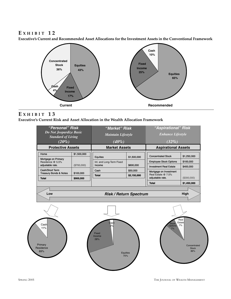**Executive's Current and Recommended Asset Allocations for the Investment Assets in the Conventional Framework**



## **E XHIBIT 1 3**

**Executive's Current Risk and Asset Allocation in the Wealth Allocation Framework**

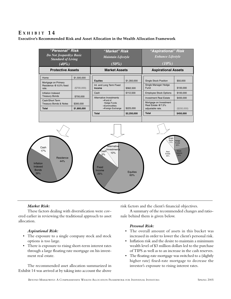**Executive's Recommended Risk and Asset Allocation in the Wealth Allocation Framework**



### *Market Risk:*

These factors dealing with diversification were covered earlier in reviewing the traditional approach to asset allocation.

#### *Aspirational Risk:*

- The exposure to a single company stock and stock options is too large.
- There is exposure to rising short-term interest rates through a large floating rate mortgage on his investment real estate.

The recommended asset allocation summarized in Exhibit 14 was arrived at by taking into account the above risk factors and the client's financial objectives.

A summary of the recommended changes and rationale behind them is given below.

#### *Personal Risk:*

- The overall amount of assets in this bucket was increased in order to lower the client's personal risk.
- Inflation risk and the desire to maintain a minimum wealth level of \$3 million dollars led to the purchase of TIPS as well as to an increase in the cash reserves.
- The floating-rate mortgage was switched to a (slightly higher rate) fixed-rate mortgage to decrease the investor's exposure to rising interest rates.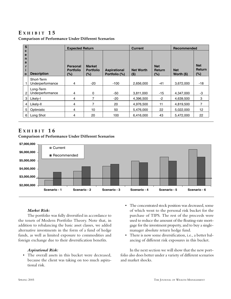**Comparison of Performance Under Different Scenarios**

| $\mathbf{s}$     |                                | <b>Expected Return</b>       |                                   | <b>Current</b>      |                  | Recommended                 |            |                             |
|------------------|--------------------------------|------------------------------|-----------------------------------|---------------------|------------------|-----------------------------|------------|-----------------------------|
| с<br>е<br>n<br>a |                                | Personal<br><b>Portfolio</b> | <b>Market</b><br><b>Portfolio</b> | <b>Aspirational</b> | <b>Net Worth</b> | <b>Net</b><br><b>Return</b> | <b>Net</b> | <b>Net</b><br><b>Return</b> |
| $\mathbf{o}$     | <b>Description</b>             | $(\%)$                       | $(\%)$                            | Portfolio (%)       | $($ \$)          | $(\%)$                      | Worth (\$) | $(\%)$                      |
|                  | Short-Term<br>Underperformance | 4                            | $-20$                             | $-100$              | 2,656,000        | $-41$                       | 3,672,000  | -18                         |
| 2                | Long-Term<br>Underperformance  | 4                            | 0                                 | -50                 | 3,811,000        | $-15$                       | 4,347,000  | -3                          |
| 3                | Likely-l                       | 4                            | 7                                 | $-20$               | 4,396,500        | -2                          | 4,639,500  | 3                           |
| 4                | Likely-II                      | 4                            | 7                                 | 20                  | 4,976,500        | 11                          | 4,819,500  | 7                           |
| 5                | Optimistic                     | 4                            | 10                                | 50                  | 5,476,000        | 22                          | 5,022,000  | 12                          |
| 6                | Long Shot                      | 4                            | 20                                | 100                 | 6,416,000        | 43                          | 5,472,000  | 22                          |

## **E XHIBIT 1 6**

**Comparison of Performance Under Different Scenarios**



#### *Market Risk:*

The portfolio was fully diversified in accordance to the tenets of Modern Portfolio Theory. Note that, in addition to rebalancing the basic asset classes, we added alternative investments in the form of a fund of hedge funds, as well as limited exposure to commodities and foreign exchange due to their diversification benefits.

#### *Aspirational Risk:*

- The overall assets in this bucket were decreased, because the client was taking on too much aspirational risk.
- The concentrated stock position was decreased, some of which went to the personal risk bucket for the purchase of TIPS. The rest of the proceeds were used to reduce the amount of the floating-rate mortgage for the investment property, and to buy a singlemanager absolute return hedge fund.
- There is now some diversification, i.e., a better balancing of different risk exposures in this bucket.

In the next section we will show that the new portfolio also does better under a variety of different scenarios and market shocks.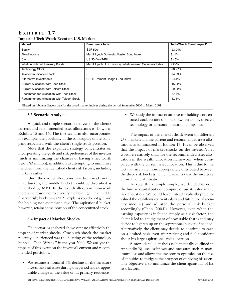### **E XHIBIT 1 7 Impact of Tech-Wreck Event on U.S. Markets**

| <b>Market</b>                                   | <b>Benchmark Index</b>                                        | Tech-Wreck Event Impact* |
|-------------------------------------------------|---------------------------------------------------------------|--------------------------|
| Equity                                          | S&P 500                                                       | $-23.04%$                |
| Fixed Income                                    | Merrill Lynch Domestic Master Bond Index                      | 8.11%                    |
| Cash                                            | US 30-Day T-Bill                                              | 3.45%                    |
| Inflation Indexed Treasury Bonds                | Merrill Lynch U.S. Treasury Inflation-linked Securities Index | 9.22%                    |
| <b>Technology Stock</b>                         | -                                                             | $-26.97%$                |
| <b>Telecommunication Stock</b>                  | -                                                             | $-74.63%$                |
| Alternative Investments                         | <b>CSFB Tremont Hedge Fund Index</b>                          | $-0.44%$                 |
| <b>Current Allocation With Tech Stock</b>       | -                                                             | $-15.02%$                |
| <b>Current Allocation With Telcom Stock</b>     | ۰                                                             | $-29.32%$                |
| <b>Recommended Allocation With Tech Stock</b>   | $\overline{\phantom{a}}$                                      | $-6.11%$                 |
| <b>Recommended Allocation With Telcom Stock</b> | $\overline{\phantom{a}}$                                      | $-8.76%$                 |

\*Based on Ibbotson Encorr data for the broad market indices during the period September 2000 to March 2001.

#### **8.3 Scenario Analysis**

A quick and simple scenario analysis of the client's current and recommended asset allocations is shown in Exhibits 15 and 16. The first scenario also incorporates, for example, the possibility of the bankruptcy of the company associated with the client's single stock position.

Note that the expanded strategy concentrates on incorporating the goals and risk preferences of the investor (such as minimizing the chances of having a net worth below \$3 million), in addition to attempting to immunize the client from the identified client risk factors, including market crashes.

Once the correct allocations have been made in the three buckets, the middle bucket should be diversified as prescribed by MPT. In the wealth allocation framework there is no reason not to diversify the holdings in the middle (market risk) bucket—as MPT explains you do not get paid for holding non-systematic risk. The aspirational bucket, however, retains some portion of the concentrated stock.

#### **8.4 Impact of Market Shocks**

The scenarios analyzed above capture effectively the impact of market shocks. One such shock the market recently experienced was the bursting of the technology bubble, "Tech-Wreck," in the year 2000. We analyze the impact of this event on the investor's current and recommended portfolios.

• We assume a nominal 5% decline in the investor's investment real estate during this period and no appreciable change in the value of his primary residence.

• We study the impact of an investor holding concentrated stock positions in one of two randomly selected technology or telecommunication companies.

The impact of this market shock event on different U.S. markets and the current and recommended asset allocations is summarized in Exhibit 17. It can be observed that the impact of market shocks on the investor's net worth is relatively small for the recommended asset allocation in the wealth allocation framework, when compared with the current asset allocation. This is due to the fact that assets are more appropriately distributed between the three risk buckets, which take into view the investor's entire financial situation.

To keep this example simple, we decided to note the human capital but not compute or use its value in the risk allocation. We could have instead explicitly presentvalued the cashflows (current salary and future social security income) and adjusted the personal risk bucket accordingly (Chen [2004]). However, even when the earning capacity is included simply as a risk factor, the client is led to a judgement of how stable that is and may decide to lighten up on the aspirational bucket, if needed. Alternatively, the client may decide to continue to earn on a limited basis even after retiring and feel confident about his large aspirational risk allocation.

A more detailed analysis (schematically outlined in Appendix B) uses cashflows and measures such as maximum loss and allows the investor to optimize on the use of annuities to mitigate the prospect of outliving his assets. The objective is to immunize the client against all of his risk factors.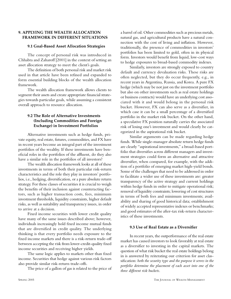#### **9. APPLYING THE WEALTH ALLOCATION FRAMEWORK IN DIFFERENT SITUATIONS**

#### **9.1 Goal-Based Asset Allocation Strategies**

The concept of personal risk was introduced in Chhabra and Zaharoff [2001] in the context of setting an asset allocation strategy to meet the client's goals.

The definition of both personal risk and market risk used in that article have been refined and expanded to form essential building blocks of the wealth allocation framework.

The wealth allocation framework allows clients to segment their assets and create appropriate financial strategies towards particular goals, while assuming a consistent overall approach to resource allocation.

#### **9.2 The Role of Alternative Investments (Including Commodities and Foreign Exchange) in Investment Portfolios**

Alternative investments such as hedge funds, private equity, real estate, futures, commodities, and FX have in recent years become an integral part of the investment portfolios of the wealthy. If these investments have beneficial roles in the portfolios of the affluent, do they also have a similar role in the portfolios of all investors?

The wealth allocation framework looks at all of these investments in terms of both their particular risk-return characteristics and the role they play in investors' portfolios, i.e., hedging, diversification, or a pure absolute return strategy. For these classes of securities it is crucial to weigh the benefits of their inclusion against counteracting factors, such as higher transaction costs, fees, minimum investment thresholds, liquidity constraints, higher default risks, as well as suitability and transparency issues, in order to arrive at a decision.

Fixed income securities with lower credit quality have many of the same issues described above; however, individuals increasingly hold fixed income mutual funds that are diversified in credit quality. The underlying thinking is that every portfolio needs exposure to the fixed income markets and there is a risk-return trade-off between accepting the risk from lower-credit-quality fixed income securities and receiving higher yields.

The same logic applies to markets other than fixed income. Securities that hedge against various risk factors also provide similar risk-return trade-offs.

The price of a gallon of gas is related to the price of

a barrel of oil. Other commodities such as precious metals, natural gas, and agricultural products have a natural connection with the cost of living and inflation. However, traditionally, the presence of commodities in investors' portfolios has been limited to gold, often in its physical form. Investors would benefit from liquid, low-cost ways to hedge exposures to broad-based commodity indexes.

Similarly, investors are strongly exposed to country default and currency devaluation risks. These risks are often neglected, but they do occur frequently, e.g., in recent years in Argentina, Russia, and Korea. A pure FX hedge (which may be not just on the investment portfolio but also on other investments such as real estate holdings or business contracts) would have an underlying cost associated with it and would belong in the personal risk bucket. However, FX can also serve as a diversifier, in which case it can be a small percentage of a diversified portfolio in the market risk bucket. On the other hand, a speculative FX position naturally carries the associated risk of losing one's investment and would clearly be categorized in the aspirational risk bucket.

Similar arguments can be made regarding hedge funds. While single-manager absolute return hedge funds are clearly "aspirational investments," a broad-based portfolio that diversifies across different managers and investment strategies could form an alternative and attractive diversifier, when compared, for example, with the addition of a portfolio of emerging market high-yield bonds. Some of the challenges that need to be addressed in order to facilitate a wider use of these investments are: greater transparency of the active strategy and current holdings within hedge funds in order to mitigate operational risk; removal of liquidity constraints; lowering of cost structures in terms of both fees and minimum investments; availability and sharing of good historical data; establishment of widely accepted representative indexes or benchmarks; and good estimates of the after-tax risk-return characteristics of these investments.

#### **9.3 Use of Real Estate as a Diversifier**

In recent years, the outperformance of the real estate market has caused investors to look favorably at real estate as a diversifier to investing in the capital markets. The question of what risk bucket the real estate holdings belong in is answered by reiterating our criterion for asset classification: *both the security type and the purpose it serves in the portfolio determine the placement of each asset into one of the three different risk buckets*.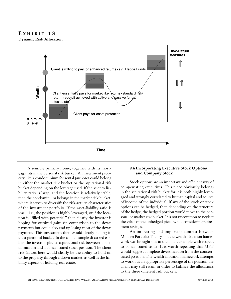**E XHIBIT 1 8 Dynamic Risk Allocation**



A sensible primary home, together with its mortgage, fits in the personal risk bucket. An investment property like a condominium for rental purposes could belong in either the market risk bucket or the aspirational risk bucket depending on the leverage used. If the asset to liability ratio is large, and the location is relatively stable, then the condominium belongs in the market risk bucket, where it serves to diversify the risk-return characteristics of the investment portfolio. If the asset-liability ratio is small, i.e., the position is highly leveraged, or if the location is "filled with potential," then clearly the investor is hoping for outsized gains (in comparison to the down payment) but could also end up losing most of the down payment. This investment then would clearly belong in the aspirational bucket. In the client example discussed earlier, the investor split his aspirational risk between a condominium and a concentrated stock position. The client risk factors here would clearly be the ability to hold on to the property through a down market, as well as the liability aspects of holding real estate.

#### **9.4 Incorporating Executive Stock Options and Company Stock**

Stock options are an important and efficient way of compensating executives. This piece obviously belongs in the aspirational risk bucket for it is both highly leveraged and strongly correlated to human capital and source of income of the individual. If any of the stock or stock options can be hedged, then depending on the structure of the hedge, the hedged portion would move to the personal or market risk bucket. It is not uncommon to neglect the value of the unhedged piece while considering retirement savings.

An interesting and important contrast between Modern Portfolio Theory and the wealth allocation framework was brought out in the client example with respect to concentrated stock. It is worth repeating that MPT would suggest complete diversification from the concentrated position. The wealth allocation framework attempts to work out an appropriate percentage of the position the client may still retain in order to balance the allocations to the three different risk buckets.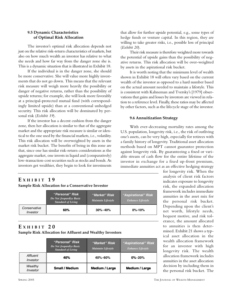### **9.5 Dynamic Characteristics of Optimal Risk Allocation**

The investor's optimal risk allocation depends not just on the relative risk-return characteristics of markets, but also on how much wealth an investor has relative to what she needs and how far way from the danger zone she is. This is a dynamic situation that is illustrated in Exhibit 18.

If the individual is in the danger zone, she should be more conservative. She will value more highly investments that do not go down. This means that the relevant risk measure will weigh more heavily the possibility or danger of negative returns, rather than the possibility of upside returns; for example, she will look more favorably at a principal-protected mutual fund (with correspondingly limited upside) than at a conventional unhedged security. This risk allocation will be dominated by personal risk (*Exhibit 19*).

If the investor has a decent cushion from the danger zone, then her allocation is similar to that of the aggregate market and the appropriate risk measure is similar or identical to the one used by the financial markets, i.e., volatility. This risk allocation will be overweighted by assets in the market risk bucket. The benefits of being in this zone are that, since one has similar risk-return considerations as the aggregate market, one invests in liquid and (comparatively) low-transaction-cost securities such as stocks and bonds. As investors get wealthier, they begin to look for investments that allow for further upside potential, e.g., some types of hedge funds or venture capital. In this region, they are willing to take greater risks, i.e., possible loss of principal (*Exhibit 20*).

Their risk measure is therefore weighted more towards the potential of upside gains than the possibility of negative returns. This risk allocation will be over-weighted by assets in the aspirational risk bucket.

It is worth noting that the minimum level of wealth shown in Exhibit 18 will often vary based on the current wealth of the investor as opposed to a hard number based on the actual amount needed to maintain a lifestyle. This is consistent with Kahneman and Tversky's [1979] observations that gains and losses by investors are viewed in relation to a reference level. Finally, these ratios may be affected by other factors, such as the lifecycle stage of the investor.

#### **9.6 Annuitization Strategy**

With ever-decreasing mortality rates among the U.S. population, longevity risk, i.e., the risk of outliving one's assets, can be very high, especially for retirees with a family history of longevity. Traditional asset allocation methods based on MPT cannot guarantee protection against longevity risk. By guaranteeing a fixed or variable stream of cash flow for the entire lifetime of the investor in exchange for a fixed up-front premium, immediate annuities act as an effective hedging strategy

## **E XHIBIT 1 9 Sample Risk Allocation for a Conservative Investor**

|                          | "Personal" Risk<br>Do Not Jeopardize Basic<br><b>Standard of Living</b> | "Market" Risk<br><b>Maintain Lifestyle</b> | "Aspirational" Risk<br><b>Enhance Lifestyle</b> |
|--------------------------|-------------------------------------------------------------------------|--------------------------------------------|-------------------------------------------------|
| Conservative<br>Investor | 60%                                                                     | $30\% - 40\%$                              | $0\% - 10\%$                                    |

## **E XHIBIT 2 0**

**Sample Risk Allocation for Affluent and Wealthy Investors**

|                      | "Personal" Risk<br>Do Not Jeopardize Basic<br><b>Standard of Living</b> | "Market" Risk<br><b>Maintain Lifestyle</b> | "Aspirational" Risk<br><b>Enhance Lifestyle</b> |
|----------------------|-------------------------------------------------------------------------|--------------------------------------------|-------------------------------------------------|
| Affluent<br>Investor | 40%                                                                     | $40\% - 60\%$                              | $0\% - 20\%$                                    |
| Wealthy<br>Investor  | <b>Small / Medium</b>                                                   | <b>Medium / Large</b>                      | <b>Medium / Large</b>                           |

for longevity risk. When the analysis of client risk factors indicates exposure to longevity risk, the expanded allocation framework includes immediate annuities in the asset mix for the personal risk bucket. Depending upon the client's net worth, lifestyle needs, bequest motive, and risk tolerance, the amount allocated to annuities is then determined. Exhibit 21 shows a typical asset allocation in the wealth allocation framework for an investor with high longevity risk. The wealth allocation framework includes annuities in the asset allocation decision by including them in the personal risk bucket. The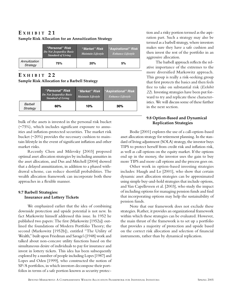## **E XHIBIT 2 1 Sample Risk Allocation for an Annuitization Strategy**

|                           | "Personal" Risk<br>Do Not Jeopardize Basic<br><b>Standard of Living</b> | "Market" Risk<br><b>Maintain Lifestyle</b> | "Aspirational" Risk<br><b>Enhance Lifestyle</b> |
|---------------------------|-------------------------------------------------------------------------|--------------------------------------------|-------------------------------------------------|
| Annuitization<br>Strategy | 75%                                                                     | 20%                                        | 5%                                              |

## **E XHIBIT 2 2**

#### **Sample Risk Allocation for a Barbell Strategy**

|                     | "Personal" Risk<br>Do Not Jeopardize Basic<br><b>Standard of Living</b> | "Market" Risk<br><b>Maintain Lifestyle</b> | "Aspirational" Risk<br><b>Enhance Lifestyle</b> |
|---------------------|-------------------------------------------------------------------------|--------------------------------------------|-------------------------------------------------|
| Barbell<br>Strategy | 60%                                                                     | 10%                                        | 30%                                             |

bulk of the assets is invested in the personal risk bucket (~75%), which includes significant exposure to annuities and inflation-protected securities. The market risk bucket  $(\sim 20\%)$  provides the necessary cushion to maintain lifestyle in the event of significant inflation and other market risks.

Recently Chen and Milevsky [2003] proposed optimal asset allocation strategies by including annuities in the asset allocation, and Dus and Mitchell [2004] showed that a delayed annuitization, in addition to a phased withdrawal scheme, can reduce shortfall probabilities. The wealth allocation framework can incorporate both these approaches in a flexible manner.

#### **9.7 Barbell Strategies: Insurance and Lottery Tickets**

We emphasized earlier that the idea of combining downside protection and upside potential is not new. In fact Markowitz himself addressed this issue. In 1952 he published two papers: The first (Markowitz [1952a]) outlined the foundations of Modern Portfolio Theory; the second (Markowitz [1952b]), entitled "The Utility of Wealth," built upon Friedman and Savage's [1948] work and talked about non-concave utility functions based on the simultaneous desire of individuals to pay for insurance and invest in lottery tickets. This idea has been subsequently explored by a number of people including Lopes [1987] and Lopes and Oden [1999], who constructed the notion of SP/A portfolios, in which investors decompose their portfolios in terms of a safe portion known as security protec-

tion and a risky portion termed as the aspiration part. Such a strategy may also be termed as a barbell strategy, where investors makes sure they have a safe cushion and then invest the rest of the portfolio in an aggressive allocation.

The barbell approach reflects the relative importance of the extremes to the more diversified Markowitz approach. This group is really a risk-seeking group that first protects the basics and then feels free to take on substantial risk (*Exhibit 22*). Investing strategies have been put forward to try and replicate these characteristics. We will discuss some of these further in the next section.

#### **9.8 Option-Based and Dynamical Replication Strategies**

Bodie [2001] explores the use of a call-option-based asset allocation strategy for retirement planning. In the standard of living adjustment (SOLA) strategy, the investor buys TIPS to protect herself from credit risk and inflation risk, as well as call options on the equity market. If the options end up in the money, the investor uses the gain to buy more TIPS and more call options and the process goes on.

Other work in option-based investing strategies includes: Haugh and Lo [2001], who show that certain dynamic asset allocation strategies can be approximated using simple buy-and-hold strategies that include options, and Van Capelleveen et al. [2003], who study the impact of including options for managing pension funds and find that incorporating options may help the sustainability of pension funds.

Note that our framework does not exclude these strategies. Rather, it provides an organizational framework within which these strategies can be evaluated. However, the main thrust of the framework is to set up a portfolio that provides a majority of protection and upside based on the correct risk allocation and selection of financial instruments, rather than by dynamical replication.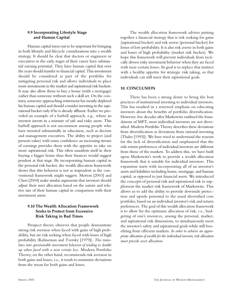#### **9.9 Incorporating Lifestyle Stage and Human Capital**

Human capital turns out to be important for bringing in both lifestyle and lifecycle considerations into a wealth strategy. It should be clear that doctors or engineers or executives in the early stages of their career have substantial earning potential. They have human capital that over the years should transfer to financial capital. This investment should be considered as part of the portfolio for mitigating personal risk and allows individuals to place more investments in the market and aspirational risk buckets. It may also allow them to buy a house (with a mortgage) earlier than someone without such a skill set. On the contrary, someone approaching retirement has mostly depleted his human capital and should consider investing in the aspirational bucket only if he is already affluent. Earlier we provided an example of a barbell approach, e.g., where an investor invests in a mixture of safe and risky assets. This barbell approach is not uncommon among people who have invested substantially in education, such as doctors and management executives. The ability to project (and present-value) with some confidence an increasing stream of earnings provides them with the appetite to take on more aspirational risk. This often manifests itself in their buying a bigger house than their finances would suggest prudent at that stage. By incorporating human capital in the personal risk bucket, the wealth allocation framework shows that this behavior is not as imprudent as the conventional framework might suggest. Merton [2003] and Chen [2004] make similar arguments that investors should adjust their asset allocation based on the nature and relative size of their human capital in comparison with their investment assets.

### **9.10 The Wealth Allocation Framework Seeks to Protect from Excessive Risk Taking in Bad Times**

Prospect theory observes that people demonstrate strong risk aversion when faced with gains of high probability, but are risk seeking when faced with losses of high probability (Kahneman and Tversky [1979]). *This translates into questionable investment behavior of tending to double up when faced with a near certain loss*. Modern Portfolio Theory, on the other hand, recommends risk aversion in both gains and losses, i.e., it tends to minimize deviations from the mean for both gains and losses.

The wealth allocation framework advises putting together a financial strategy that is risk seeking for gains (aspirational bucket) and risk averse (personal bucket) for losses of low probability. It is also risk averse in both gains and losses of high probability (market risk bucket). We hope this framework will prevent individuals from tactically driven risky investment behavior when they are faced with near-certain losses. Its goal is to replace that instinct with a healthy appetite for strategic risk taking, so that individuals can still meet their aspirational goals.

#### **10. CONCLUSION**

There has been a strong desire to bring the best practices of institutional investing to individual investors. This has resulted in a renewed emphasis on educating investors about the benefits of portfolio diversification. However, five decades after Markowitz outlined the foundations of MPT, most individual investors are not diversified. Modern Portfolio Theory describes these deviations from diversification as deviations from rational investing (Thaler [1993]). We have tried to understand the reasons for the lack of diversification and emphasized that the risk-return preferences of individual investors are different from those of the markets. To address this, we have built upon Markowitz's work to provide a wealth allocation framework that is suitable for individual investors. This expansion starts with incorporating all of an investor's assets and liabilities including home, mortgage, and human capital, as opposed to just financial assets. We introduced the concepts of personal risk and aspirational risk to supplement the market risk framework of Markowitz. This allows us to add the ability to provide downside protection and upside potential to the usual diversified core portfolio, based on an individual investor's risk and return preferences. The goal of this wealth allocation framework is to allow for the optimum allocation of risk, i.e., budgeting of one's resources, among the personal, market, and aspirational risk dimensions, to simultaneously meet the investor's safety and aspirational goals while still benefiting from efficient markets. *In order to achieve an appropriate allocation of wealth for the individual investor, risk allocation must precede asset allocation*.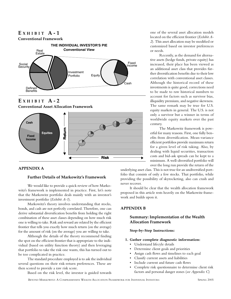## **E XHIBIT A-1**





## **E XHIBIT A-2**

**Conventional Asset Allocation Framework**



#### **APPENDIX A**

#### **Further Details of Markowitz's Framework**

We would like to provide a quick review of how Markowitz's framework is implemented in practice. First, let's note that the Markowitz portfolio deals mainly with an investor's investment portfolio (*Exhibit A-1*).

Markowitz's theory involves understanding that stocks, bonds, and cash are not perfectly correlated. Therefore, one can derive substantial diversification benefits from holding the right combination of these asset classes depending on how much risk one is willing to take. Risk and reward are related by the efficient frontier that tells you exactly how much return (on the average) for the amount of risk (on the average) you are willing to take.

Although the details of the theory recommend finding the spot on the efficient frontier that is appropriate to the individual (based on utility function theory) and then leveraging that portfolio to take the risk one wants, this has turned out to be too complicated in practice.

The standard procedure employed is to ask the individual several questions on their risk-return preferences. These are then scored to provide a raw risk score.

Based on the risk level, the investor is guided towards

one of the several asset allocation models located on the efficient frontier (*Exhibit A-2*). This asset allocation may be modified or customized based on investor preferences or needs.

Recently, as the demand for alternative assets (hedge funds, private equity) has increased, their place has been viewed as an additional asset class that provides further diversification benefits due to their low correlation with conventional asset classes. Although the historical record of these investments is quite good, corrections need to be made to raw historical numbers to account for factors such as survivor bias, illiquidity premium, and negative skewness. The same remark may be true for U.S. equity markets in general. The U.S. is not only a survivor but a winner in terms of worldwide equity markets over the past century.

The Markowitz framework is powerful for many reasons. First, one fully benefits from diversification. Mean-variance efficient portfolios provide maximum return for a given level of risk taking. Also, by dealing with liquid securities, transaction costs and bid-ask spreads can be kept to a minimum. A well-diversified portfolio will over the long run provide the return of the

underlying asset class. This is not true for an undiversified portfolio that consists of only a few stocks. That portfolio, while providing the possibility of skyrocketing, also can crash and never recover.

It should be clear that the wealth allocation framework proposed in this article rests heavily on the Markowitz framework and builds upon it.

#### **APPENDIX B**

#### **Summary: Implementation of the Wealth Allocation Framework**

#### **Step-by-Step Instructions:**

#### **1. Gather complete diagnostic information:**

- Understand lifecyle details
- Determine client goals and priorities
- Assign cash flows and timelines to each goal
- Classify current assets and liabilities
- Include current and future cash flows
- Complete risk questionnaire to determine client risk factors and personal danger zones (*see Appendix C*)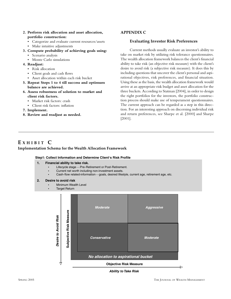- **2. Perform risk allocation and asset allocation, portfolio construction:**
	- Categorize and evaluate current resources/assets
	- Make intuitive adjustments
- **3. Compute probability of achieving goals using:**
	- Scenario analysis
	- Monte Carlo simulations
- **4. Readjust:** 
	- Risk allocation
	- Client goals and cash flows
	- Asset allocation within each risk bucket
- **5. Repeat Steps 1 to 4 till success and optimum balance are achieved.**
- **6. Assess robustness of solution to market and client risk factors.** 
	- Market risk factors: crash
	- Client risk factors: inflation
- **7. Implement.**
- **8. Review and readjust as needed.**

#### **APPENDIX C**

#### **Evaluating Investor Risk Preferences**

Current methods usually evaluate an investor's ability to take on market risk by utilizing risk tolerance questionnaires. The wealth allocation framework balances the client's financial ability to take risk (an objective risk measure) with the client's desire to avoid risk (a subjective risk measure). It does this by including questions that uncover the client's personal and aspirational objectives, risk preferences, and financial situation. Using these as the basis, the wealth allocation framework would arrive at an appropriate risk budget and asset allocation for the three buckets. According to Statman [2004], in order to design the right portfolios for the investors, the portfolio construction process should make use of temperament questionnaires. The current approach can be regarded as a step in this direction. For an interesting approach on discerning individual risk and return preferences, see Sharpe et al. [2000] and Sharpe [2001].

## **E XHIBIT C**

**Implementation Schema for the Wealth Allocation Framework**

**Step1: Collect Information and Determine Client's Risk Profile**

#### **1. Financial ability to take risk.**

- Lifecycle stage Pre-Retirement or Post-Retirement.
- Current net worth including non-investment assets.
- Cash-flow related-information —goals, desired lifestyle, current age, retirement age, etc.

#### **2. Desire to avoid risk**

- Minimum Wealth Level
- Target Return



**Ability to Take Risk**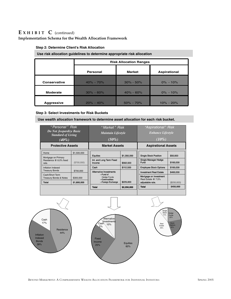## **E XHIBIT C** (continued)

## **Implementation Schema for the Wealth Allocation Framework**

#### **Step 2: Determine Client's Risk Allocation**

#### **Use risk allocation guidelines to determine appropriate risk allocation**

|                   | <b>Risk Allocation Ranges</b> |               |               |  |  |  |
|-------------------|-------------------------------|---------------|---------------|--|--|--|
|                   | Personal                      | <b>Market</b> | Aspirational  |  |  |  |
| Conservative      | $40\% - 70\%$                 | $30\% - 50\%$ | $0\% - 10\%$  |  |  |  |
| <b>Moderate</b>   | $30\% - 60\%$                 | $40\% - 60\%$ | $0\% - 10\%$  |  |  |  |
| <b>Aggressive</b> | $20\% - 40\%$                 | $50\% - 70\%$ | $10\% - 20\%$ |  |  |  |

#### **Step 3: Select Investments for Risk Buckets**

#### **Use wealth allocation framework to determine asset allocation for each risk bucket.**

| "Personal" Risk<br>Do Not Jeopardize Basic<br><b>Standard of Living</b><br>$(40\%)$ |             | "Market" Risk<br><b>Maintain Lifestyle</b><br>(50%) |                          | "Aspirational" Risk<br><b>Enhance Lifestyle</b><br>$(10\%)$                   |                       |
|-------------------------------------------------------------------------------------|-------------|-----------------------------------------------------|--------------------------|-------------------------------------------------------------------------------|-----------------------|
| <b>Protective Assets</b>                                                            |             | <b>Market Assets</b>                                |                          | <b>Aspirational Assets</b>                                                    |                       |
| Home                                                                                | \$1,500,000 |                                                     |                          |                                                                               |                       |
| Mortgage on Primary<br>Residence @ 6.0% fixed<br>rate.                              | (\$700,000) | Equities<br>Int. and Long Term Fixed<br>Income      | \$1,350,000<br>\$562,500 | <b>Single Stock Position</b><br>Single Manager Hedge<br>Fund                  | \$50,000<br>\$100,000 |
| Inflation Indexed<br><b>Treasury Bonds</b>                                          | \$700,000   | Cash<br>Alternative Investments                     | \$112,500                | <b>Employee Stock Options</b>                                                 | \$100,000             |
| Cash/Short Term<br><b>Treasury Bonds &amp; Notes</b>                                | \$300,000   | -Fund of<br><b>Hedge Funds</b><br>-Commodities      |                          | <b>Investment Real Estate</b><br>Mortgage on Investment<br>Real Estate @ 7.5% | \$400,000             |
| <b>Total</b>                                                                        | \$1,800,000 | \$225,000<br>-Foreign Exchange                      |                          | adjustable rate.                                                              | (\$200,000)           |
|                                                                                     |             | <b>Total</b>                                        | \$2,250,000              | <b>Total</b>                                                                  | \$450,000             |

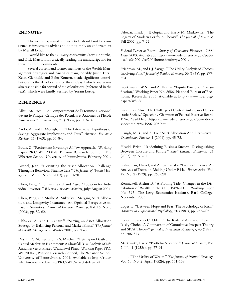#### **ENDNOTES**

The views expressed in this article should not be construed as investment advice and do not imply an endorsement by Merrill Lynch.

I would like to thank Harry Markowitz, Steve Bodurtha, and Dick Marston for critically reading the manuscript and for their insightful comments.

Several current and former members of the Wealth Management Strategies and Analytics team, notably Justin Ferri, Keith Glenfield, and Babu Koneru, made significant contributions to the development of these ideas. Babu Koneru was also responsible for several of the calculations (referenced in the text), which were kindly verified by Yoram Lustig.

#### **REFERENCES**

Allais, Maurice. "Le Comportement de l'Homme Rationnel devant le Risque: Critique des Postulats et Axiomes de l'Ecole Américaine." *Econometrica,* 21 (1953), pp. 503-546.

Ando, A., and F. Modigliani. "The Life-Cycle Hypothesis of Saving: Aggregate Implications and Tests." *American Economic Review*, 53 (1963), pp. 55-84.

Bodie, Z. "Retirement Investing : A New Approach." Working Paper PRC WP 2001-8, Pension Research Council, The Wharton School, University of Pennsylvania, February 2001.

Brunel, Jean. "Revisiting the Asset Allocation Challenge Through a Behavioral Finance Lens." *The Journal of Wealth Management*, Vol. 6, No. 2 (2003), pp. 10-20.

Chen, Peng. "Human Capital and Asset Allocation for Individual Investors." *Ibbotson Associates Monitor*, July/August 2004.

Chen, Peng, and Moshe A. Milevsky. "Merging Asset Allocation and Longevity Insurance: An Optimal Perspective on Payout Annuities." *Journal of Financial Planning*, Vol. 16, No. 6 (2003), pp. 52-62.

Chhabra, A., and L. Zaharoff. "Setting an Asset Allocation Strategy by Balancing Personal and Market Risks." *The Journal of Wealth Management*, Winter 2001, pp. 30-33.

Dus, I., R. Maurer, and O. S. Mitchell. "Betting on Death and Capital Markets in Retirement: A Shortfall Risk Analysis of Life Annuities versus Phased Withdrawal Plans." Working Paper PRC WP 2004-1, Pension Research Council, The Wharton School, University of Pennsylvania, 2004. Available at http://rider. wharton.upenn.edu/~prc/PRC/WP/wp2004-1rev.pdf.

Fabozzi, Frank J., F. Gupta, and Harry M. Markowitz. "The Legacy of Modern Portfolio Theory." *The Journal of Investing*, Fall 2002, pp. 7-22.

Federal Reserve Board. *Survey of Consumer Finances—2001 Data*. 2003. Available at http://www.federalreserve.gov/pubs/ oss/oss2/2001/scf2001home.html#rpw2001.

Friedman, M., and L.J. Savage. "The Utility Analysis of Choices Involving Risk." *Journal of Political Economy*, 56 (1948), pp. 279- 304.

Goetzmann, W.N., and A. Kumar. "Equity Portfolio Diversification," Working Paper No. 8686, National Bureau of Economic Research, 2003. Available at http://www.nber.org/ papers/w8686.

Greenspan, Alan. "The Challenge of Central Banking in a Democratic Society." Speech by Chairman of Federal Reserve Board, 1996. Available at http://www.federalreserve.gov/boarddocs/ speeches/1996/19961205.htm.

Haugh, M.B., and A. Lo. "Asset Allocation And Derivatives." *Quantitative Finance*, 1 (2001), pp. 45-72.

Headd, Brian. "Redefining Business Success: Distinguishing Between Closure and Failure." *Small Business Economics,* 21 (2003), pp. 51-61.

Kahneman, Daniel, and Amos Tversky. "Prospect Theory: An Analysis of Decision Making Under Risk." *Econometrica*, Vol. 47, No. 2 (1979), pp. 263-291.

Kennickell, Arthur B. "A Rolling Tide: Changes in the Distribution of Wealth in the U.S., 1989-2001." Working Paper No. 393, The Levy Economics Institute, Bard College, November 2003.

Lopes, L. "Between Hope and Fear: The Psychology of Risk." *Advances in Experimental Psychology*, 20 (1987), pp. 255-295.

Lopes, L., and G.C. Oden. "The Role of Aspiration Level in Risky Choice: A Comparison of Cumulative Prospect Theory and SP/A Theory." *Journal of Investment Psychology*, 43 (1999), pp. 286-313.

Markowitz, Harry. "Portfolio Selection." *Journal of Finance*, Vol. 7, No. 1 (1952a), pp. 77-91.

——. "The Utility of Wealth." *The Journal of Political Economy*, Vol. 60, No. 2 (April 1952b), pp. 151-158.